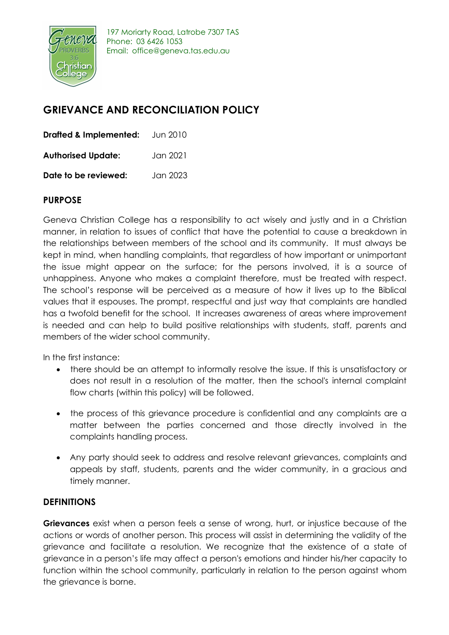

### **GRIEVANCE AND RECONCILIATION POLICY**

| <b>Drafted &amp; Implemented:</b> | Jun 2010  |
|-----------------------------------|-----------|
| <b>Authorised Update:</b>         | Jan 2021. |
| Date to be reviewed:              | Jan 2023  |

### **PURPOSE**

Geneva Christian College has a responsibility to act wisely and justly and in a Christian manner, in relation to issues of conflict that have the potential to cause a breakdown in the relationships between members of the school and its community. It must always be kept in mind, when handling complaints, that regardless of how important or unimportant the issue might appear on the surface; for the persons involved, it is a source of unhappiness. Anyone who makes a complaint therefore, must be treated with respect. The school's response will be perceived as a measure of how it lives up to the Biblical values that it espouses. The prompt, respectful and just way that complaints are handled has a twofold benefit for the school. It increases awareness of areas where improvement is needed and can help to build positive relationships with students, staff, parents and members of the wider school community.

In the first instance:

- there should be an attempt to informally resolve the issue. If this is unsatisfactory or does not result in a resolution of the matter, then the school's internal complaint flow charts (within this policy) will be followed.
- the process of this grievance procedure is confidential and any complaints are a matter between the parties concerned and those directly involved in the complaints handling process.
- Any party should seek to address and resolve relevant grievances, complaints and appeals by staff, students, parents and the wider community, in a gracious and timely manner.

### **DEFINITIONS**

**Grievances** exist when a person feels a sense of wrong, hurt, or injustice because of the actions or words of another person. This process will assist in determining the validity of the grievance and facilitate a resolution. We recognize that the existence of a state of grievance in a person's life may affect a person's emotions and hinder his/her capacity to function within the school community, particularly in relation to the person against whom the grievance is borne.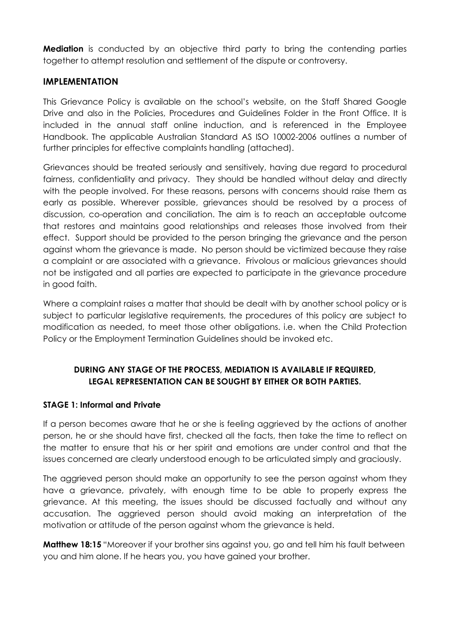**Mediation** is conducted by an objective third party to bring the contending parties together to attempt resolution and settlement of the dispute or controversy.

#### **IMPLEMENTATION**

This Grievance Policy is available on the school's website, on the Staff Shared Google Drive and also in the Policies, Procedures and Guidelines Folder in the Front Office. It is included in the annual staff online induction, and is referenced in the Employee Handbook. The applicable Australian Standard AS ISO 10002-2006 outlines a number of further principles for effective complaints handling (attached).

Grievances should be treated seriously and sensitively, having due regard to procedural fairness, confidentiality and privacy. They should be handled without delay and directly with the people involved. For these reasons, persons with concerns should raise them as early as possible. Wherever possible, grievances should be resolved by a process of discussion, co-operation and conciliation. The aim is to reach an acceptable outcome that restores and maintains good relationships and releases those involved from their effect. Support should be provided to the person bringing the grievance and the person against whom the grievance is made. No person should be victimized because they raise a complaint or are associated with a grievance. Frivolous or malicious grievances should not be instigated and all parties are expected to participate in the grievance procedure in good faith.

Where a complaint raises a matter that should be dealt with by another school policy or is subject to particular legislative requirements, the procedures of this policy are subject to modification as needed, to meet those other obligations. i.e. when the Child Protection Policy or the Employment Termination Guidelines should be invoked etc.

#### **DURING ANY STAGE OF THE PROCESS, MEDIATION IS AVAILABLE IF REQUIRED, LEGAL REPRESENTATION CAN BE SOUGHT BY EITHER OR BOTH PARTIES.**

#### **STAGE 1: Informal and Private**

If a person becomes aware that he or she is feeling aggrieved by the actions of another person, he or she should have first, checked all the facts, then take the time to reflect on the matter to ensure that his or her spirit and emotions are under control and that the issues concerned are clearly understood enough to be articulated simply and graciously.

The aggrieved person should make an opportunity to see the person against whom they have a grievance, privately, with enough time to be able to properly express the grievance. At this meeting, the issues should be discussed factually and without any accusation. The aggrieved person should avoid making an interpretation of the motivation or attitude of the person against whom the grievance is held.

**Matthew 18:15** "Moreover if your brother sins against you, go and tell him his fault between you and him alone. If he hears you, you have gained your brother.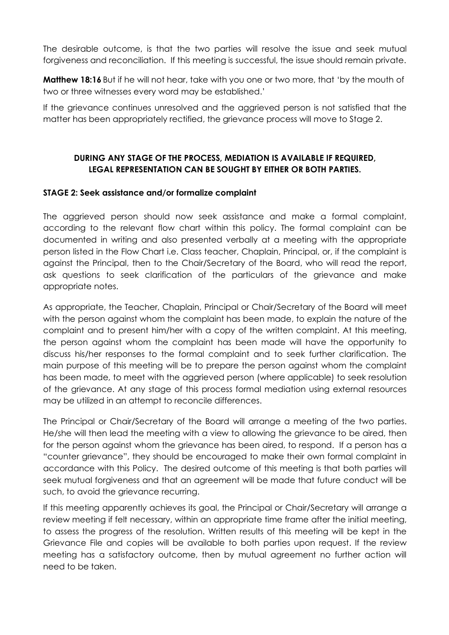The desirable outcome, is that the two parties will resolve the issue and seek mutual forgiveness and reconciliation. If this meeting is successful, the issue should remain private.

**Matthew 18:16** But if he will not hear, take with you one or two more, that 'by the mouth of two or three witnesses every word may be established.'

If the grievance continues unresolved and the aggrieved person is not satisfied that the matter has been appropriately rectified, the grievance process will move to Stage 2.

#### **DURING ANY STAGE OF THE PROCESS, MEDIATION IS AVAILABLE IF REQUIRED, LEGAL REPRESENTATION CAN BE SOUGHT BY EITHER OR BOTH PARTIES.**

#### **STAGE 2: Seek assistance and/or formalize complaint**

The aggrieved person should now seek assistance and make a formal complaint, according to the relevant flow chart within this policy. The formal complaint can be documented in writing and also presented verbally at a meeting with the appropriate person listed in the Flow Chart i.e. Class teacher, Chaplain, Principal, or, if the complaint is against the Principal, then to the Chair/Secretary of the Board, who will read the report, ask questions to seek clarification of the particulars of the grievance and make appropriate notes.

As appropriate, the Teacher, Chaplain, Principal or Chair/Secretary of the Board will meet with the person against whom the complaint has been made, to explain the nature of the complaint and to present him/her with a copy of the written complaint. At this meeting, the person against whom the complaint has been made will have the opportunity to discuss his/her responses to the formal complaint and to seek further clarification. The main purpose of this meeting will be to prepare the person against whom the complaint has been made, to meet with the aggrieved person (where applicable) to seek resolution of the grievance. At any stage of this process formal mediation using external resources may be utilized in an attempt to reconcile differences.

The Principal or Chair/Secretary of the Board will arrange a meeting of the two parties. He/she will then lead the meeting with a view to allowing the grievance to be aired, then for the person against whom the grievance has been aired, to respond. If a person has a "counter grievance", they should be encouraged to make their own formal complaint in accordance with this Policy. The desired outcome of this meeting is that both parties will seek mutual forgiveness and that an agreement will be made that future conduct will be such, to avoid the grievance recurring.

If this meeting apparently achieves its goal, the Principal or Chair/Secretary will arrange a review meeting if felt necessary, within an appropriate time frame after the initial meeting, to assess the progress of the resolution. Written results of this meeting will be kept in the Grievance File and copies will be available to both parties upon request. If the review meeting has a satisfactory outcome, then by mutual agreement no further action will need to be taken.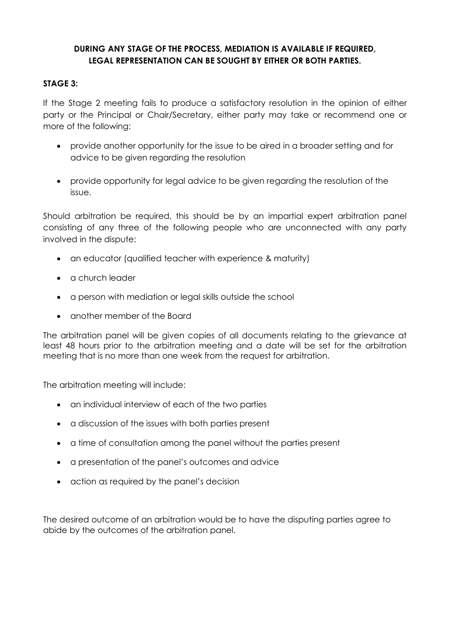#### **DURING ANY STAGE OF THE PROCESS, MEDIATION IS AVAILABLE IF REQUIRED, LEGAL REPRESENTATION CAN BE SOUGHT BY EITHER OR BOTH PARTIES.**

#### **STAGE 3:**

If the Stage 2 meeting fails to produce a satisfactory resolution in the opinion of either party or the Principal or Chair/Secretary, either party may take or recommend one or more of the following:

- provide another opportunity for the issue to be aired in a broader setting and for advice to be given regarding the resolution
- provide opportunity for legal advice to be given regarding the resolution of the issue.

Should arbitration be required, this should be by an impartial expert arbitration panel consisting of any three of the following people who are unconnected with any party involved in the dispute:

- an educator (qualified teacher with experience & maturity)
- a church leader
- a person with mediation or legal skills outside the school
- another member of the Board

The arbitration panel will be given copies of all documents relating to the grievance at least 48 hours prior to the arbitration meeting and a date will be set for the arbitration meeting that is no more than one week from the request for arbitration.

The arbitration meeting will include:

- an individual interview of each of the two parties
- a discussion of the issues with both parties present
- a time of consultation among the panel without the parties present
- a presentation of the panel's outcomes and advice
- action as required by the panel's decision

The desired outcome of an arbitration would be to have the disputing parties agree to abide by the outcomes of the arbitration panel.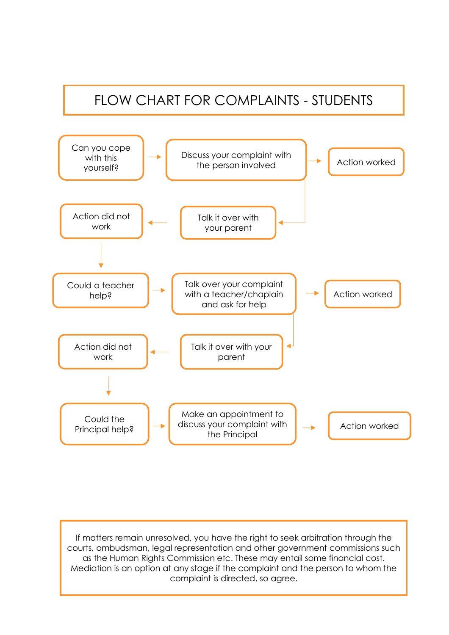# FLOW CHART FOR COMPLAINTS - STUDENTS

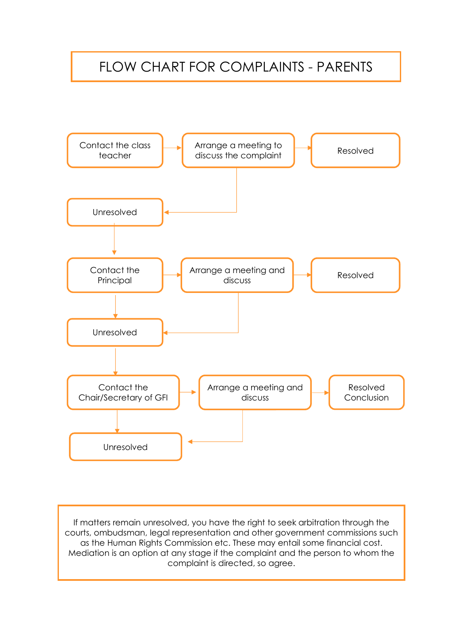## FLOW CHART FOR COMPLAINTS - PARENTS

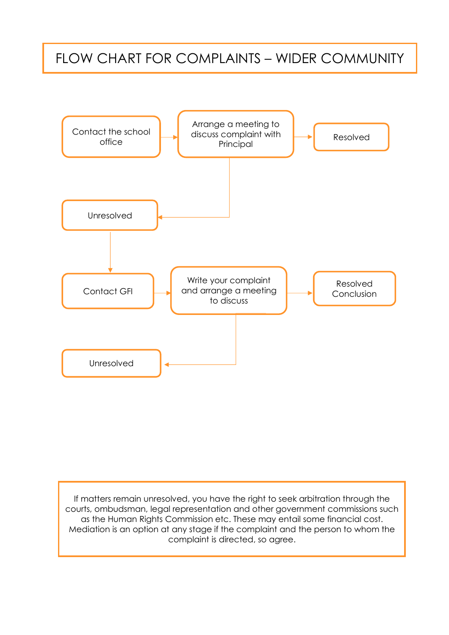## FLOW CHART FOR COMPLAINTS – WIDER COMMUNITY

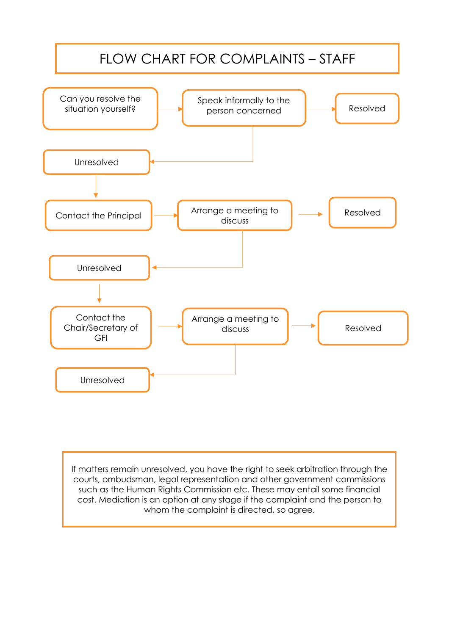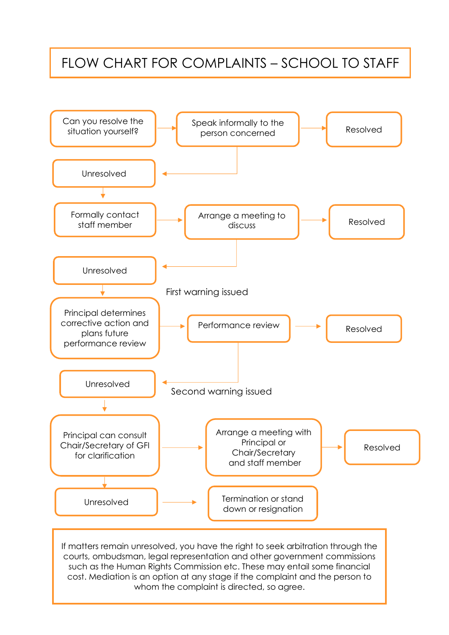## FLOW CHART FOR COMPLAINTS – SCHOOL TO STAFF

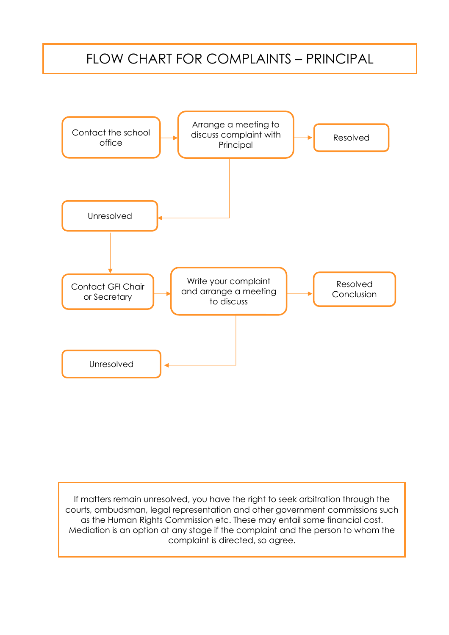## FLOW CHART FOR COMPLAINTS – PRINCIPAL